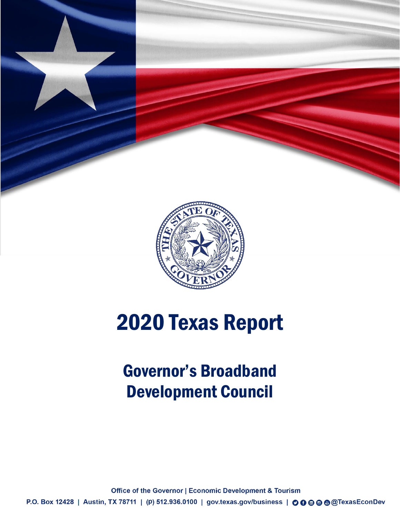

# 2020 Texas Report

## Governor's Broadband Development Council

**Office of the Governor | Economic Development & Tourism** P.O. Box 12428 | Austin, TX 78711 | (p) 512.936.0100 | gov.texas.gov/business | 00 · © © © CTexasEconDev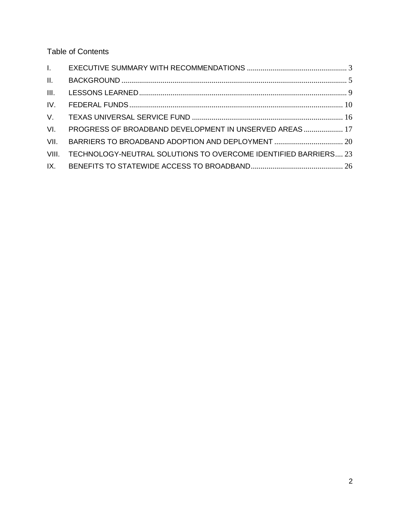Table of Contents

| II.   |                                                                 |  |
|-------|-----------------------------------------------------------------|--|
| III.  |                                                                 |  |
| IV.   |                                                                 |  |
|       |                                                                 |  |
| VI.   | PROGRESS OF BROADBAND DEVELOPMENT IN UNSERVED AREAS 17          |  |
| VII.  | BARRIERS TO BROADBAND ADOPTION AND DEPLOYMENT  20               |  |
| VIII. | TECHNOLOGY-NEUTRAL SOLUTIONS TO OVERCOME IDENTIFIED BARRIERS 23 |  |
| IX.   |                                                                 |  |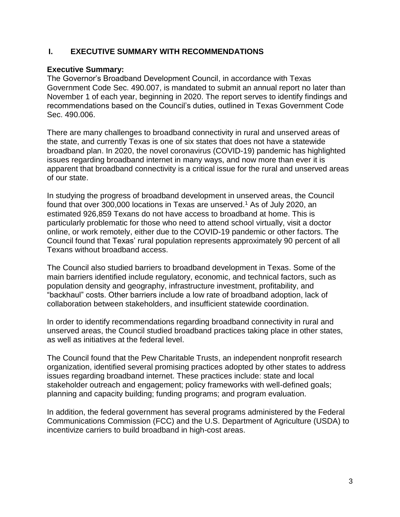## **I. EXECUTIVE SUMMARY WITH RECOMMENDATIONS**

#### **Executive Summary:**

The Governor's Broadband Development Council, in accordance with Texas Government Code Sec. 490.007, is mandated to submit an annual report no later than November 1 of each year, beginning in 2020. The report serves to identify findings and recommendations based on the Council's duties, outlined in Texas Government Code Sec. 490.006.

There are many challenges to broadband connectivity in rural and unserved areas of the state, and currently Texas is one of six states that does not have a statewide broadband plan. In 2020, the novel coronavirus (COVID-19) pandemic has highlighted issues regarding broadband internet in many ways, and now more than ever it is apparent that broadband connectivity is a critical issue for the rural and unserved areas of our state.

In studying the progress of broadband development in unserved areas, the Council found that over 300,000 locations in Texas are unserved.<sup>1</sup> As of July 2020, an estimated 926,859 Texans do not have access to broadband at home. This is particularly problematic for those who need to attend school virtually, visit a doctor online, or work remotely, either due to the COVID-19 pandemic or other factors. The Council found that Texas' rural population represents approximately 90 percent of all Texans without broadband access.

The Council also studied barriers to broadband development in Texas. Some of the main barriers identified include regulatory, economic, and technical factors, such as population density and geography, infrastructure investment, profitability, and "backhaul" costs. Other barriers include a low rate of broadband adoption, lack of collaboration between stakeholders, and insufficient statewide coordination.

In order to identify recommendations regarding broadband connectivity in rural and unserved areas, the Council studied broadband practices taking place in other states, as well as initiatives at the federal level.

The Council found that the Pew Charitable Trusts, an independent nonprofit research organization, identified several promising practices adopted by other states to address issues regarding broadband internet. These practices include: state and local stakeholder outreach and engagement; policy frameworks with well-defined goals; planning and capacity building; funding programs; and program evaluation.

In addition, the federal government has several programs administered by the Federal Communications Commission (FCC) and the U.S. Department of Agriculture (USDA) to incentivize carriers to build broadband in high-cost areas.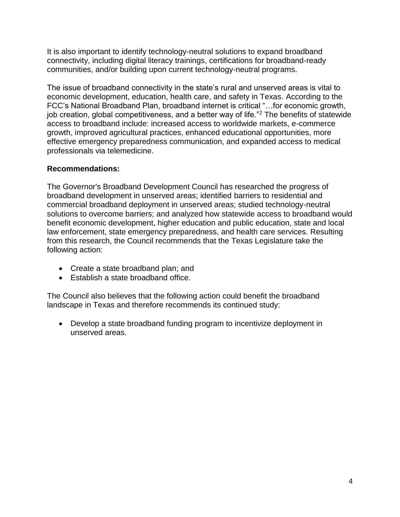It is also important to identify technology-neutral solutions to expand broadband connectivity, including digital literacy trainings, certifications for broadband-ready communities, and/or building upon current technology-neutral programs.

The issue of broadband connectivity in the state's rural and unserved areas is vital to economic development, education, health care, and safety in Texas. According to the FCC's National Broadband Plan, broadband internet is critical "…for economic growth, job creation, global competitiveness, and a better way of life."<sup>2</sup> The benefits of statewide access to broadband include: increased access to worldwide markets, e-commerce growth, improved agricultural practices, enhanced educational opportunities, more effective emergency preparedness communication, and expanded access to medical professionals via telemedicine.

## **Recommendations:**

The Governor's Broadband Development Council has researched the progress of broadband development in unserved areas; identified barriers to residential and commercial broadband deployment in unserved areas; studied technology-neutral solutions to overcome barriers; and analyzed how statewide access to broadband would benefit economic development, higher education and public education, state and local law enforcement, state emergency preparedness, and health care services. Resulting from this research, the Council recommends that the Texas Legislature take the following action:

- Create a state broadband plan; and
- Establish a state broadband office.

The Council also believes that the following action could benefit the broadband landscape in Texas and therefore recommends its continued study:

 Develop a state broadband funding program to incentivize deployment in unserved areas.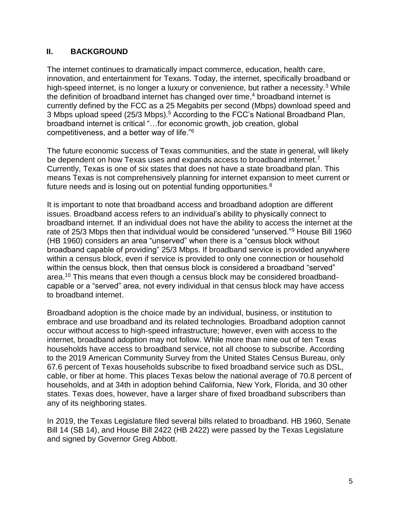## **II. BACKGROUND**

The internet continues to dramatically impact commerce, education, health care, innovation, and entertainment for Texans. Today, the internet, specifically broadband or high-speed internet, is no longer a luxury or convenience, but rather a necessity.<sup>3</sup> While the definition of broadband internet has changed over time, <sup>4</sup> broadband internet is currently defined by the FCC as a 25 Megabits per second (Mbps) download speed and 3 Mbps upload speed (25/3 Mbps).<sup>5</sup> According to the FCC's National Broadband Plan, broadband internet is critical "…for economic growth, job creation, global competitiveness, and a better way of life."<sup>6</sup>

The future economic success of Texas communities, and the state in general, will likely be dependent on how Texas uses and expands access to broadband internet.<sup>7</sup> Currently, Texas is one of six states that does not have a state broadband plan. This means Texas is not comprehensively planning for internet expansion to meet current or future needs and is losing out on potential funding opportunities.<sup>8</sup>

It is important to note that broadband access and broadband adoption are different issues. Broadband access refers to an individual's ability to physically connect to broadband internet. If an individual does not have the ability to access the internet at the rate of 25/3 Mbps then that individual would be considered "unserved."<sup>9</sup> House Bill 1960 (HB 1960) considers an area "unserved" when there is a "census block without broadband capable of providing" 25/3 Mbps. If broadband service is provided anywhere within a census block, even if service is provided to only one connection or household within the census block, then that census block is considered a broadband "served" area.<sup>10</sup> This means that even though a census block may be considered broadbandcapable or a "served" area, not every individual in that census block may have access to broadband internet.

Broadband adoption is the choice made by an individual, business, or institution to embrace and use broadband and its related technologies. Broadband adoption cannot occur without access to high-speed infrastructure; however, even with access to the internet, broadband adoption may not follow. While more than nine out of ten Texas households have access to broadband service, not all choose to subscribe. According to the 2019 American Community Survey from the United States Census Bureau, only 67.6 percent of Texas households subscribe to fixed broadband service such as DSL, cable, or fiber at home. This places Texas below the national average of 70.8 percent of households, and at 34th in adoption behind California, New York, Florida, and 30 other states. Texas does, however, have a larger share of fixed broadband subscribers than any of its neighboring states.

In 2019, the Texas Legislature filed several bills related to broadband. HB 1960, Senate Bill 14 (SB 14), and House Bill 2422 (HB 2422) were passed by the Texas Legislature and signed by Governor Greg Abbott.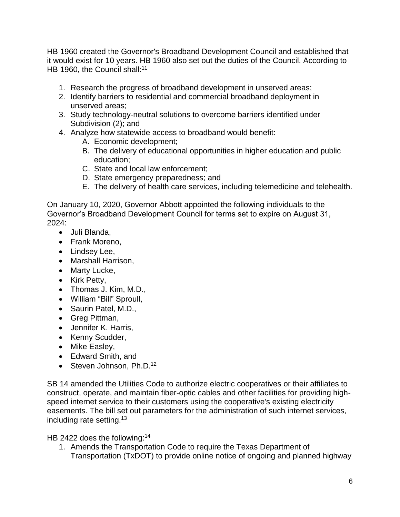HB 1960 created the Governor's Broadband Development Council and established that it would exist for 10 years. HB 1960 also set out the duties of the Council. According to HB 1960, the Council shall:<sup>11</sup>

- 1. Research the progress of broadband development in unserved areas;
- 2. Identify barriers to residential and commercial broadband deployment in unserved areas;
- 3. Study technology-neutral solutions to overcome barriers identified under Subdivision (2); and
- 4. Analyze how statewide access to broadband would benefit:
	- A. Economic development;
	- B. The delivery of educational opportunities in higher education and public education;
	- C. State and local law enforcement;
	- D. State emergency preparedness; and
	- E. The delivery of health care services, including telemedicine and telehealth.

On January 10, 2020, Governor Abbott appointed the following individuals to the Governor's Broadband Development Council for terms set to expire on August 31, 2024:

- Juli Blanda,
- Frank Moreno.
- Lindsey Lee,
- Marshall Harrison,
- Marty Lucke,
- Kirk Petty,
- Thomas J. Kim, M.D.,
- William "Bill" Sproull,
- Saurin Patel, M.D.,
- Greg Pittman,
- Jennifer K. Harris,
- Kenny Scudder,
- Mike Easley,
- Edward Smith, and
- $\bullet$  Steven Johnson, Ph.D.<sup>12</sup>

SB 14 amended the Utilities Code to authorize electric cooperatives or their affiliates to construct, operate, and maintain fiber-optic cables and other facilities for providing highspeed internet service to their customers using the cooperative's existing electricity easements. The bill set out parameters for the administration of such internet services, including rate setting.<sup>13</sup>

HB 2422 does the following:<sup>14</sup>

1. Amends the Transportation Code to require the Texas Department of Transportation (TxDOT) to provide online notice of ongoing and planned highway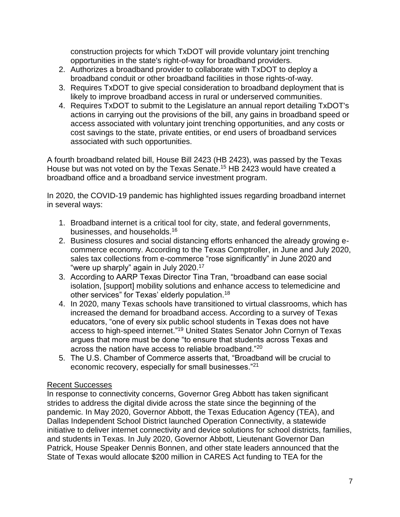construction projects for which TxDOT will provide voluntary joint trenching opportunities in the state's right-of-way for broadband providers.

- 2. Authorizes a broadband provider to collaborate with TxDOT to deploy a broadband conduit or other broadband facilities in those rights-of-way.
- 3. Requires TxDOT to give special consideration to broadband deployment that is likely to improve broadband access in rural or underserved communities.
- 4. Requires TxDOT to submit to the Legislature an annual report detailing TxDOT's actions in carrying out the provisions of the bill, any gains in broadband speed or access associated with voluntary joint trenching opportunities, and any costs or cost savings to the state, private entities, or end users of broadband services associated with such opportunities.

A fourth broadband related bill, House Bill 2423 (HB 2423), was passed by the Texas House but was not voted on by the Texas Senate.<sup>15</sup> HB 2423 would have created a broadband office and a broadband service investment program.

In 2020, the COVID-19 pandemic has highlighted issues regarding broadband internet in several ways:

- 1. Broadband internet is a critical tool for city, state, and federal governments, businesses, and households.<sup>16</sup>
- 2. Business closures and social distancing efforts enhanced the already growing ecommerce economy. According to the Texas Comptroller, in June and July 2020, sales tax collections from e-commerce "rose significantly" in June 2020 and "were up sharply" again in July 2020.<sup>17</sup>
- 3. According to AARP Texas Director Tina Tran, "broadband can ease social isolation, [support] mobility solutions and enhance access to telemedicine and other services" for Texas' elderly population.<sup>18</sup>
- 4. In 2020, many Texas schools have transitioned to virtual classrooms, which has increased the demand for broadband access. According to a survey of Texas educators, "one of every six public school students in Texas does not have access to high-speed internet."<sup>19</sup> United States Senator John Cornyn of Texas argues that more must be done "to ensure that students across Texas and across the nation have access to reliable broadband."<sup>20</sup>
- 5. The U.S. Chamber of Commerce asserts that, "Broadband will be crucial to economic recovery, especially for small businesses."<sup>21</sup>

## Recent Successes

In response to connectivity concerns, Governor Greg Abbott has taken significant strides to address the digital divide across the state since the beginning of the pandemic. In May 2020, Governor Abbott, the Texas Education Agency (TEA), and Dallas Independent School District launched Operation Connectivity, a statewide initiative to deliver internet connectivity and device solutions for school districts, families, and students in Texas. In July 2020, Governor Abbott, Lieutenant Governor Dan Patrick, House Speaker Dennis Bonnen, and other state leaders announced that the State of Texas would allocate \$200 million in CARES Act funding to TEA for the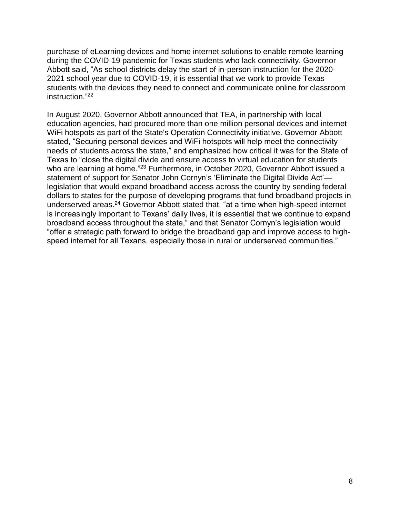purchase of eLearning devices and home internet solutions to enable remote learning during the COVID-19 pandemic for Texas students who lack connectivity. Governor Abbott said, "As school districts delay the start of in-person instruction for the 2020- 2021 school year due to COVID-19, it is essential that we work to provide Texas students with the devices they need to connect and communicate online for classroom instruction." 22

In August 2020, Governor Abbott announced that TEA, in partnership with local education agencies, had procured more than one million personal devices and internet WiFi hotspots as part of the State's Operation Connectivity initiative. Governor Abbott stated, "Securing personal devices and WiFi hotspots will help meet the connectivity needs of students across the state," and emphasized how critical it was for the State of Texas to "close the digital divide and ensure access to virtual education for students who are learning at home."<sup>23</sup> Furthermore, in October 2020, Governor Abbott issued a statement of support for Senator John Cornyn's 'Eliminate the Digital Divide Act' legislation that would expand broadband access across the country by sending federal dollars to states for the purpose of developing programs that fund broadband projects in underserved areas.<sup>24</sup> Governor Abbott stated that, "at a time when high-speed internet is increasingly important to Texans' daily lives, it is essential that we continue to expand broadband access throughout the state," and that Senator Cornyn's legislation would "offer a strategic path forward to bridge the broadband gap and improve access to highspeed internet for all Texans, especially those in rural or underserved communities."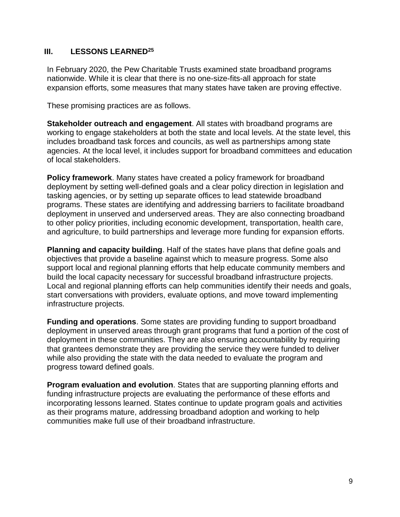## **III. LESSONS LEARNED<sup>25</sup>**

In February 2020, the Pew Charitable Trusts examined state broadband programs nationwide. While it is clear that there is no one-size-fits-all approach for state expansion efforts, some measures that many states have taken are proving effective.

These promising practices are as follows.

**Stakeholder outreach and engagement**. All states with broadband programs are working to engage stakeholders at both the state and local levels. At the state level, this includes broadband task forces and councils, as well as partnerships among state agencies. At the local level, it includes support for broadband committees and education of local stakeholders.

**Policy framework**. Many states have created a policy framework for broadband deployment by setting well-defined goals and a clear policy direction in legislation and tasking agencies, or by setting up separate offices to lead statewide broadband programs. These states are identifying and addressing barriers to facilitate broadband deployment in unserved and underserved areas. They are also connecting broadband to other policy priorities, including economic development, transportation, health care, and agriculture, to build partnerships and leverage more funding for expansion efforts.

**Planning and capacity building**. Half of the states have plans that define goals and objectives that provide a baseline against which to measure progress. Some also support local and regional planning efforts that help educate community members and build the local capacity necessary for successful broadband infrastructure projects. Local and regional planning efforts can help communities identify their needs and goals, start conversations with providers, evaluate options, and move toward implementing infrastructure projects.

**Funding and operations**. Some states are providing funding to support broadband deployment in unserved areas through grant programs that fund a portion of the cost of deployment in these communities. They are also ensuring accountability by requiring that grantees demonstrate they are providing the service they were funded to deliver while also providing the state with the data needed to evaluate the program and progress toward defined goals.

**Program evaluation and evolution**. States that are supporting planning efforts and funding infrastructure projects are evaluating the performance of these efforts and incorporating lessons learned. States continue to update program goals and activities as their programs mature, addressing broadband adoption and working to help communities make full use of their broadband infrastructure.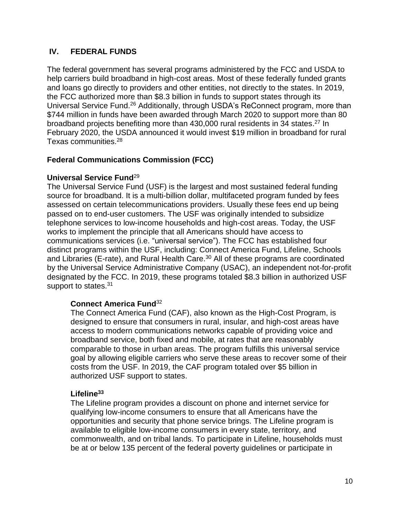## **IV. FEDERAL FUNDS**

The federal government has several programs administered by the FCC and USDA to help carriers build broadband in high-cost areas. Most of these federally funded grants and loans go directly to providers and other entities, not directly to the states. In 2019, the FCC authorized more than \$8.3 billion in funds to support states through its Universal Service Fund.<sup>26</sup> Additionally, through USDA's ReConnect program, more than \$744 million in funds have been awarded through March 2020 to support more than 80 broadband projects benefiting more than 430,000 rural residents in 34 states.<sup>27</sup> In February 2020, the USDA announced it would invest \$19 million in broadband for rural Texas communities.<sup>28</sup>

## **Federal Communications Commission (FCC)**

## **Universal Service Fund**<sup>29</sup>

The Universal Service Fund (USF) is the largest and most sustained federal funding source for broadband. It is a multi-billion dollar, multifaceted program funded by fees assessed on certain telecommunications providers. Usually these fees end up being passed on to end-user customers. The USF was originally intended to subsidize telephone services to low-income households and high-cost areas. Today, the USF works to implement the principle that all Americans should have access to communications services (i.e. "universal service"). The FCC has established four distinct programs within the USF, including: Connect America Fund, Lifeline, Schools and Libraries (E-rate), and Rural Health Care.<sup>30</sup> All of these programs are coordinated by the Universal Service Administrative Company (USAC), an independent not-for-profit designated by the FCC. In 2019, these programs totaled \$8.3 billion in authorized USF support to states.<sup>31</sup>

## **Connect America Fund**<sup>32</sup>

The Connect America Fund (CAF), also known as the High-Cost Program, is designed to ensure that consumers in rural, insular, and high-cost areas have access to modern communications networks capable of providing voice and broadband service, both fixed and mobile, at rates that are reasonably comparable to those in urban areas. The program fulfills this universal service goal by allowing eligible carriers who serve these areas to recover some of their costs from the USF. In 2019, the CAF program totaled over \$5 billion in authorized USF support to states.

## **Lifeline<sup>33</sup>**

The Lifeline program provides a discount on phone and internet service for qualifying low-income consumers to ensure that all Americans have the opportunities and security that phone service brings. The Lifeline program is available to eligible low-income consumers in every state, territory, and commonwealth, and on tribal lands. To participate in Lifeline, households must be at or below 135 percent of the federal poverty guidelines or participate in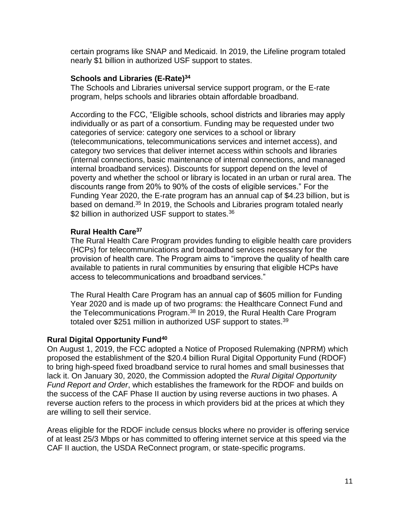certain programs like SNAP and Medicaid. In 2019, the Lifeline program totaled nearly \$1 billion in authorized USF support to states.

#### **Schools and Libraries (E-Rate)<sup>34</sup>**

The Schools and Libraries universal service support program, or the E-rate program, helps schools and libraries obtain affordable broadband.

According to the FCC, "Eligible schools, school districts and libraries may apply individually or as part of a consortium. Funding may be requested under two categories of service: category one services to a school or library (telecommunications, telecommunications services and internet access), and category two services that deliver internet access within schools and libraries (internal connections, basic maintenance of internal connections, and managed internal broadband services). Discounts for support depend on the level of poverty and whether the school or library is located in an urban or rural area. The discounts range from 20% to 90% of the costs of eligible services." For the Funding Year 2020, the E-rate program has an annual cap of \$4.23 billion, but is based on demand.<sup>35</sup> In 2019, the Schools and Libraries program totaled nearly \$2 billion in authorized USF support to states.<sup>36</sup>

## **Rural Health Care<sup>37</sup>**

The Rural Health Care Program provides funding to eligible health care providers (HCPs) for telecommunications and broadband services necessary for the provision of health care. The Program aims to "improve the quality of health care available to patients in rural communities by ensuring that eligible HCPs have access to telecommunications and broadband services."

The Rural Health Care Program has an annual cap of \$605 million for Funding Year 2020 and is made up of two programs: the Healthcare Connect Fund and the Telecommunications Program.<sup>38</sup> In 2019, the Rural Health Care Program totaled over \$251 million in authorized USF support to states.<sup>39</sup>

## **Rural Digital Opportunity Fund<sup>40</sup>**

On August 1, 2019, the FCC adopted a Notice of Proposed Rulemaking (NPRM) which proposed the establishment of the \$20.4 billion Rural Digital Opportunity Fund (RDOF) to bring high-speed fixed broadband service to rural homes and small businesses that lack it. On January 30, 2020, the Commission adopted the *Rural Digital Opportunity Fund Report and Order*, which establishes the framework for the RDOF and builds on the success of the CAF Phase II auction by using reverse auctions in two phases. A reverse auction refers to the process in which providers bid at the prices at which they are willing to sell their service.

Areas eligible for the RDOF include census blocks where no provider is offering service of at least 25/3 Mbps or has committed to offering internet service at this speed via the CAF II auction, the USDA ReConnect program, or state-specific programs.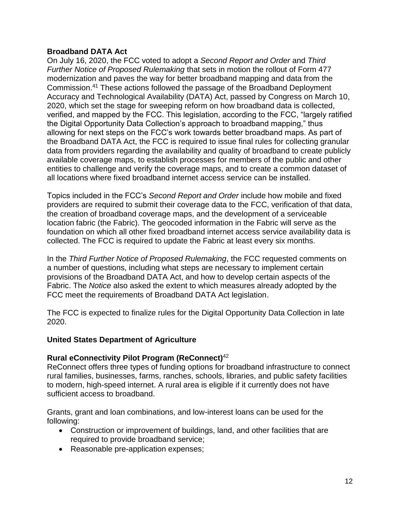#### **Broadband DATA Act**

On July 16, 2020, the FCC voted to adopt a *Second Report and Order* and *Third Further Notice of Proposed Rulemaking* that sets in motion the rollout of Form 477 modernization and paves the way for better broadband mapping and data from the Commission.<sup>41</sup> These actions followed the passage of the Broadband Deployment Accuracy and Technological Availability (DATA) Act, passed by Congress on March 10, 2020, which set the stage for sweeping reform on how broadband data is collected, verified, and mapped by the FCC. This legislation, according to the FCC, "largely ratified the Digital Opportunity Data Collection's approach to broadband mapping," thus allowing for next steps on the FCC's work towards better broadband maps. As part of the Broadband DATA Act, the FCC is required to issue final rules for collecting granular data from providers regarding the availability and quality of broadband to create publicly available coverage maps, to establish processes for members of the public and other entities to challenge and verify the coverage maps, and to create a common dataset of all locations where fixed broadband internet access service can be installed.

Topics included in the FCC's *Second Report and Order* include how mobile and fixed providers are required to submit their coverage data to the FCC, verification of that data, the creation of broadband coverage maps, and the development of a serviceable location fabric (the Fabric). The geocoded information in the Fabric will serve as the foundation on which all other fixed broadband internet access service availability data is collected. The FCC is required to update the Fabric at least every six months.

In the *Third Further Notice of Proposed Rulemaking*, the FCC requested comments on a number of questions, including what steps are necessary to implement certain provisions of the Broadband DATA Act, and how to develop certain aspects of the Fabric. The *Notice* also asked the extent to which measures already adopted by the FCC meet the requirements of Broadband DATA Act legislation.

The FCC is expected to finalize rules for the Digital Opportunity Data Collection in late 2020.

#### **United States Department of Agriculture**

## **Rural eConnectivity Pilot Program (ReConnect)**<sup>42</sup>

ReConnect offers three types of funding options for broadband infrastructure to connect rural families, businesses, farms, ranches, schools, libraries, and public safety facilities to modern, high-speed internet. A rural area is eligible if it currently does not have sufficient access to broadband.

Grants, grant and loan combinations, and low-interest loans can be used for the following:

- Construction or improvement of buildings, land, and other facilities that are required to provide broadband service;
- Reasonable pre-application expenses;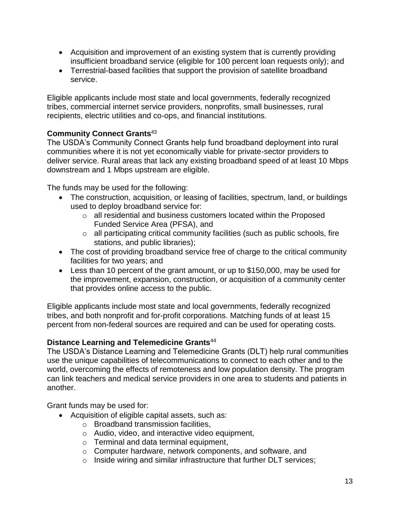- Acquisition and improvement of an existing system that is currently providing insufficient broadband service (eligible for 100 percent loan requests only); and
- Terrestrial-based facilities that support the provision of satellite broadband service.

Eligible applicants include most state and local governments, federally recognized tribes, commercial internet service providers, nonprofits, small businesses, rural recipients, electric utilities and co-ops, and financial institutions.

## **Community Connect Grants**<sup>43</sup>

The USDA's Community Connect Grants help fund broadband deployment into rural communities where it is not yet economically viable for private-sector providers to deliver service. Rural areas that lack any existing broadband speed of at least 10 Mbps downstream and 1 Mbps upstream are eligible.

The funds may be used for the following:

- The construction, acquisition, or leasing of facilities, spectrum, land, or buildings used to deploy broadband service for:
	- o all residential and business customers located within the Proposed Funded Service Area (PFSA), and
	- o all participating critical community facilities (such as public schools, fire stations, and public libraries);
- The cost of providing broadband service free of charge to the critical community facilities for two years; and
- Less than 10 percent of the grant amount, or up to \$150,000, may be used for the improvement, expansion, construction, or acquisition of a community center that provides online access to the public.

Eligible applicants include most state and local governments, federally recognized tribes, and both nonprofit and for-profit corporations. Matching funds of at least 15 percent from non-federal sources are required and can be used for operating costs.

## **Distance Learning and Telemedicine Grants**<sup>44</sup>

The USDA's Distance Learning and Telemedicine Grants (DLT) help rural communities use the unique capabilities of telecommunications to connect to each other and to the world, overcoming the effects of remoteness and low population density. The program can link teachers and medical service providers in one area to students and patients in another.

Grant funds may be used for:

- Acquisition of eligible capital assets, such as:
	- o Broadband transmission facilities,
	- o Audio, video, and interactive video equipment,
	- o Terminal and data terminal equipment,
	- o Computer hardware, network components, and software, and
	- o Inside wiring and similar infrastructure that further DLT services;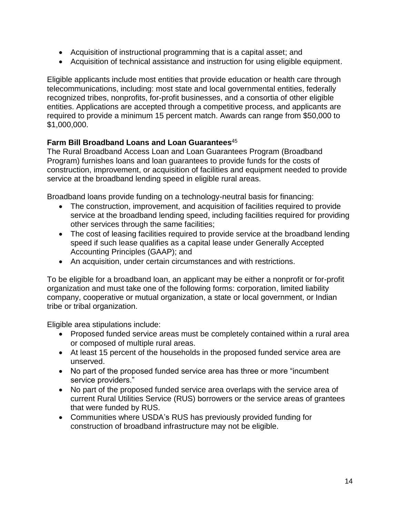- Acquisition of instructional programming that is a capital asset; and
- Acquisition of technical assistance and instruction for using eligible equipment.

Eligible applicants include most entities that provide education or health care through telecommunications, including: most state and local governmental entities, federally recognized tribes, nonprofits, for-profit businesses, and a consortia of other eligible entities. Applications are accepted through a competitive process, and applicants are required to provide a minimum 15 percent match. Awards can range from \$50,000 to \$1,000,000.

## **Farm Bill Broadband Loans and Loan Guarantees**<sup>45</sup>

The Rural Broadband Access Loan and Loan Guarantees Program (Broadband Program) furnishes loans and loan guarantees to provide funds for the costs of construction, improvement, or acquisition of facilities and equipment needed to provide service at the broadband lending speed in eligible rural areas.

Broadband loans provide funding on a technology-neutral basis for financing:

- The construction, improvement, and acquisition of facilities required to provide service at the broadband lending speed, including facilities required for providing other services through the same facilities;
- The cost of leasing facilities required to provide service at the broadband lending speed if such lease qualifies as a capital lease under Generally Accepted Accounting Principles (GAAP); and
- An acquisition, under certain circumstances and with restrictions.

To be eligible for a broadband loan, an applicant may be either a nonprofit or for-profit organization and must take one of the following forms: corporation, limited liability company, cooperative or mutual organization, a state or local government, or Indian tribe or tribal organization.

Eligible area stipulations include:

- Proposed funded service areas must be completely contained within a rural area or composed of multiple rural areas.
- At least 15 percent of the households in the proposed funded service area are unserved.
- No part of the proposed funded service area has three or more "incumbent" service providers."
- No part of the proposed funded service area overlaps with the service area of current Rural Utilities Service (RUS) borrowers or the service areas of grantees that were funded by RUS.
- Communities where USDA's RUS has previously provided funding for construction of broadband infrastructure may not be eligible.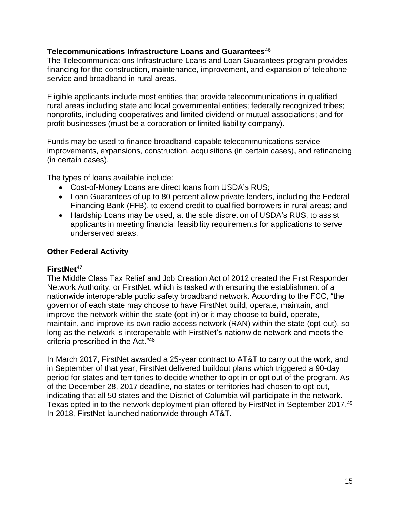#### **Telecommunications Infrastructure Loans and Guarantees**<sup>46</sup>

The Telecommunications Infrastructure Loans and Loan Guarantees program provides financing for the construction, maintenance, improvement, and expansion of telephone service and broadband in rural areas.

Eligible applicants include most entities that provide telecommunications in qualified rural areas including state and local governmental entities; federally recognized tribes; nonprofits, including cooperatives and limited dividend or mutual associations; and forprofit businesses (must be a corporation or limited liability company).

Funds may be used to finance broadband-capable telecommunications service improvements, expansions, construction, acquisitions (in certain cases), and refinancing (in certain cases).

The types of loans available include:

- Cost-of-Money Loans are direct loans from USDA's RUS;
- Loan Guarantees of up to 80 percent allow private lenders, including the Federal Financing Bank (FFB), to extend credit to qualified borrowers in rural areas; and
- Hardship Loans may be used, at the sole discretion of USDA's RUS, to assist applicants in meeting financial feasibility requirements for applications to serve underserved areas.

## **Other Federal Activity**

#### **FirstNet<sup>47</sup>**

The Middle Class Tax Relief and Job Creation Act of 2012 created the First Responder Network Authority, or FirstNet, which is tasked with ensuring the establishment of a nationwide interoperable public safety broadband network. According to the FCC, "the governor of each state may choose to have FirstNet build, operate, maintain, and improve the network within the state (opt-in) or it may choose to build, operate, maintain, and improve its own radio access network (RAN) within the state (opt-out), so long as the network is interoperable with FirstNet's nationwide network and meets the criteria prescribed in the Act."<sup>48</sup>

In March 2017, FirstNet awarded a 25-year contract to AT&T to carry out the work, and in September of that year, FirstNet delivered buildout plans which triggered a 90-day period for states and territories to decide whether to opt in or opt out of the program. As of the December 28, 2017 deadline, no states or territories had chosen to opt out, indicating that all 50 states and the District of Columbia will participate in the network. Texas opted in to the network deployment plan offered by FirstNet in September 2017.<sup>49</sup> In 2018, FirstNet launched nationwide through AT&T.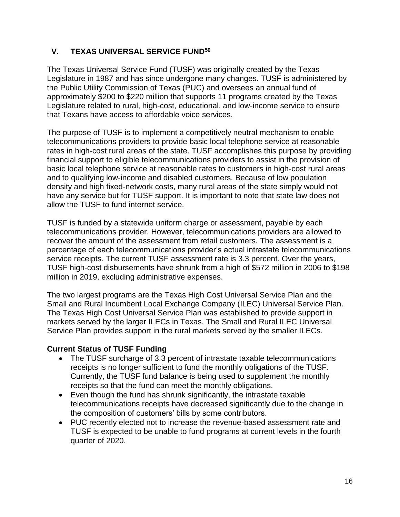## **V. TEXAS UNIVERSAL SERVICE FUND<sup>50</sup>**

The Texas Universal Service Fund (TUSF) was originally created by the Texas Legislature in 1987 and has since undergone many changes. TUSF is administered by the Public Utility Commission of Texas (PUC) and oversees an annual fund of approximately \$200 to \$220 million that supports 11 programs created by the Texas Legislature related to rural, high-cost, educational, and low-income service to ensure that Texans have access to affordable voice services.

The purpose of TUSF is to implement a competitively neutral mechanism to enable telecommunications providers to provide basic local telephone service at reasonable rates in high-cost rural areas of the state. TUSF accomplishes this purpose by providing financial support to eligible telecommunications providers to assist in the provision of basic local telephone service at reasonable rates to customers in high-cost rural areas and to qualifying low-income and disabled customers. Because of low population density and high fixed-network costs, many rural areas of the state simply would not have any service but for TUSF support. It is important to note that state law does not allow the TUSF to fund internet service.

TUSF is funded by a statewide uniform charge or assessment, payable by each telecommunications provider. However, telecommunications providers are allowed to recover the amount of the assessment from retail customers. The assessment is a percentage of each telecommunications provider's actual intrastate telecommunications service receipts. The current TUSF assessment rate is 3.3 percent. Over the years, TUSF high-cost disbursements have shrunk from a high of \$572 million in 2006 to \$198 million in 2019, excluding administrative expenses.

The two largest programs are the Texas High Cost Universal Service Plan and the Small and Rural Incumbent Local Exchange Company (ILEC) Universal Service Plan. The Texas High Cost Universal Service Plan was established to provide support in markets served by the larger ILECs in Texas. The Small and Rural ILEC Universal Service Plan provides support in the rural markets served by the smaller ILECs.

## **Current Status of TUSF Funding**

- The TUSF surcharge of 3.3 percent of intrastate taxable telecommunications receipts is no longer sufficient to fund the monthly obligations of the TUSF. Currently, the TUSF fund balance is being used to supplement the monthly receipts so that the fund can meet the monthly obligations.
- Even though the fund has shrunk significantly, the intrastate taxable telecommunications receipts have decreased significantly due to the change in the composition of customers' bills by some contributors.
- PUC recently elected not to increase the revenue-based assessment rate and TUSF is expected to be unable to fund programs at current levels in the fourth quarter of 2020.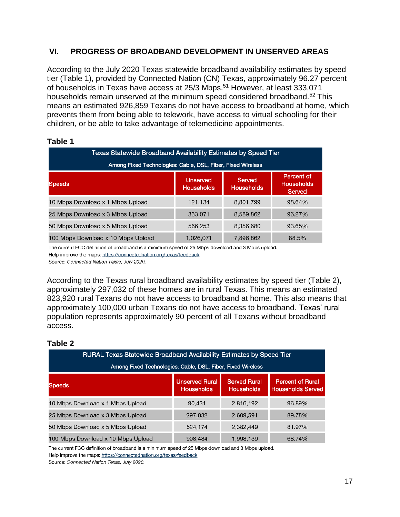## **VI. PROGRESS OF BROADBAND DEVELOPMENT IN UNSERVED AREAS**

According to the July 2020 Texas statewide broadband availability estimates by speed tier (Table 1), provided by Connected Nation (CN) Texas, approximately 96.27 percent of households in Texas have access at 25/3 Mbps.<sup>51</sup> However, at least 333,071 households remain unserved at the minimum speed considered broadband.<sup>52</sup> This means an estimated 926,859 Texans do not have access to broadband at home, which prevents them from being able to telework, have access to virtual schooling for their children, or be able to take advantage of telemedicine appointments.

| <b>Texas Statewide Broadband Availability Estimates by Speed Tier</b><br>Among Fixed Technologies: Cable, DSL, Fiber, Fixed Wireless |           |           |        |  |  |  |  |
|--------------------------------------------------------------------------------------------------------------------------------------|-----------|-----------|--------|--|--|--|--|
|                                                                                                                                      |           |           |        |  |  |  |  |
| 10 Mbps Download x 1 Mbps Upload                                                                                                     | 121.134   | 8,801,799 | 98.64% |  |  |  |  |
| 25 Mbps Download x 3 Mbps Upload                                                                                                     | 333,071   | 8,589,862 | 96.27% |  |  |  |  |
| 50 Mbps Download x 5 Mbps Upload                                                                                                     | 566.253   | 8,356,680 | 93.65% |  |  |  |  |
| 100 Mbps Download x 10 Mbps Upload                                                                                                   | 1,026,071 | 7,896,862 | 88.5%  |  |  |  |  |

#### **Table 1**

The current FCC definition of broadband is a minimum speed of 25 Mbps download and 3 Mbps upload. Help improve the maps: https://connectednation.org/texas/feedback

Source: Connected Nation Texas, July 2020.

According to the Texas rural broadband availability estimates by speed tier (Table 2), approximately 297,032 of these homes are in rural Texas. This means an estimated 823,920 rural Texans do not have access to broadband at home. This also means that approximately 100,000 urban Texans do not have access to broadband. Texas' rural population represents approximately 90 percent of all Texans without broadband access.

#### **Table 2**

| RURAL Texas Statewide Broadband Availability Estimates by Speed Tier<br>Among Fixed Technologies: Cable, DSL, Fiber, Fixed Wireless |                                            |                                          |                                                     |  |  |  |  |
|-------------------------------------------------------------------------------------------------------------------------------------|--------------------------------------------|------------------------------------------|-----------------------------------------------------|--|--|--|--|
| <b>Speeds</b>                                                                                                                       | <b>Unserved Rural</b><br><b>Households</b> | <b>Served Rural</b><br><b>Households</b> | <b>Percent of Rural</b><br><b>Households Served</b> |  |  |  |  |
| 10 Mbps Download x 1 Mbps Upload                                                                                                    | 90,431                                     | 2,816,192                                | 96.89%                                              |  |  |  |  |
| 25 Mbps Download x 3 Mbps Upload                                                                                                    | 297,032                                    | 2,609,591                                | 89.78%                                              |  |  |  |  |
| 50 Mbps Download x 5 Mbps Upload                                                                                                    | 524,174                                    | 2,382,449                                | 81.97%                                              |  |  |  |  |
| 100 Mbps Download x 10 Mbps Upload                                                                                                  | 908.484                                    | 1,998,139                                | 68.74%                                              |  |  |  |  |

The current FCC definition of broadband is a minimum speed of 25 Mbps download and 3 Mbps upload. Help improve the maps: https://connectednation.org/texas/feedback

Source: Connected Nation Texas, July 2020.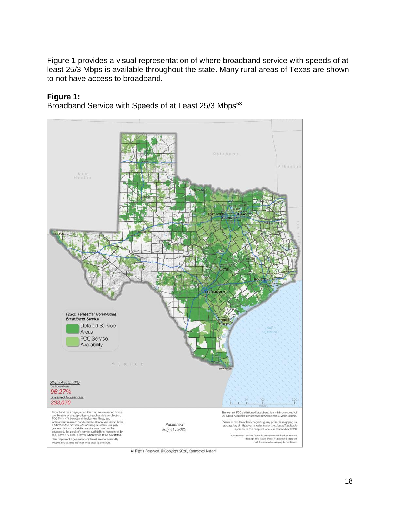Figure 1 provides a visual representation of where broadband service with speeds of at least 25/3 Mbps is available throughout the state. Many rural areas of Texas are shown to not have access to broadband.

#### **Figure 1:**

Broadband Service with Speeds of at Least 25/3 Mbps<sup>53</sup>



All Rights Reserved. @ Copyright 2020, Connected Nation.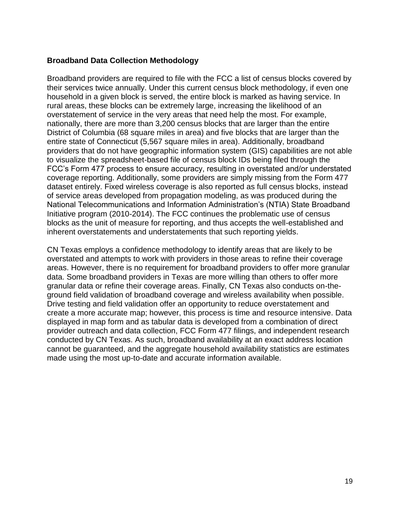#### **Broadband Data Collection Methodology**

Broadband providers are required to file with the FCC a list of census blocks covered by their services twice annually. Under this current census block methodology, if even one household in a given block is served, the entire block is marked as having service. In rural areas, these blocks can be extremely large, increasing the likelihood of an overstatement of service in the very areas that need help the most. For example, nationally, there are more than 3,200 census blocks that are larger than the entire District of Columbia (68 square miles in area) and five blocks that are larger than the entire state of Connecticut (5,567 square miles in area). Additionally, broadband providers that do not have geographic information system (GIS) capabilities are not able to visualize the spreadsheet-based file of census block IDs being filed through the FCC's Form 477 process to ensure accuracy, resulting in overstated and/or understated coverage reporting. Additionally, some providers are simply missing from the Form 477 dataset entirely. Fixed wireless coverage is also reported as full census blocks, instead of service areas developed from propagation modeling, as was produced during the National Telecommunications and Information Administration's (NTIA) State Broadband Initiative program (2010-2014). The FCC continues the problematic use of census blocks as the unit of measure for reporting, and thus accepts the well-established and inherent overstatements and understatements that such reporting yields.

CN Texas employs a confidence methodology to identify areas that are likely to be overstated and attempts to work with providers in those areas to refine their coverage areas. However, there is no requirement for broadband providers to offer more granular data. Some broadband providers in Texas are more willing than others to offer more granular data or refine their coverage areas. Finally, CN Texas also conducts on-theground field validation of broadband coverage and wireless availability when possible. Drive testing and field validation offer an opportunity to reduce overstatement and create a more accurate map; however, this process is time and resource intensive. Data displayed in map form and as tabular data is developed from a combination of direct provider outreach and data collection, FCC Form 477 filings, and independent research conducted by CN Texas. As such, broadband availability at an exact address location cannot be guaranteed, and the aggregate household availability statistics are estimates made using the most up-to-date and accurate information available.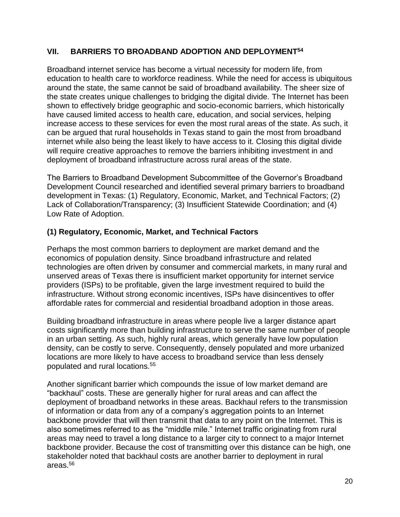## **VII. BARRIERS TO BROADBAND ADOPTION AND DEPLOYMENT<sup>54</sup>**

Broadband internet service has become a virtual necessity for modern life, from education to health care to workforce readiness. While the need for access is ubiquitous around the state, the same cannot be said of broadband availability. The sheer size of the state creates unique challenges to bridging the digital divide. The Internet has been shown to effectively bridge geographic and socio-economic barriers, which historically have caused limited access to health care, education, and social services, helping increase access to these services for even the most rural areas of the state. As such, it can be argued that rural households in Texas stand to gain the most from broadband internet while also being the least likely to have access to it. Closing this digital divide will require creative approaches to remove the barriers inhibiting investment in and deployment of broadband infrastructure across rural areas of the state.

The Barriers to Broadband Development Subcommittee of the Governor's Broadband Development Council researched and identified several primary barriers to broadband development in Texas: (1) Regulatory, Economic, Market, and Technical Factors; (2) Lack of Collaboration/Transparency; (3) Insufficient Statewide Coordination; and (4) Low Rate of Adoption.

## **(1) Regulatory, Economic, Market, and Technical Factors**

Perhaps the most common barriers to deployment are market demand and the economics of population density. Since broadband infrastructure and related technologies are often driven by consumer and commercial markets, in many rural and unserved areas of Texas there is insufficient market opportunity for internet service providers (ISPs) to be profitable, given the large investment required to build the infrastructure. Without strong economic incentives, ISPs have disincentives to offer affordable rates for commercial and residential broadband adoption in those areas.

Building broadband infrastructure in areas where people live a larger distance apart costs significantly more than building infrastructure to serve the same number of people in an urban setting. As such, highly rural areas, which generally have low population density, can be costly to serve. Consequently, densely populated and more urbanized locations are more likely to have access to broadband service than less densely populated and rural locations.<sup>55</sup>

Another significant barrier which compounds the issue of low market demand are "backhaul" costs. These are generally higher for rural areas and can affect the deployment of broadband networks in these areas. Backhaul refers to the transmission of information or data from any of a company's aggregation points to an Internet backbone provider that will then transmit that data to any point on the Internet. This is also sometimes referred to as the "middle mile." Internet traffic originating from rural areas may need to travel a long distance to a larger city to connect to a major Internet backbone provider. Because the cost of transmitting over this distance can be high, one stakeholder noted that backhaul costs are another barrier to deployment in rural areas.56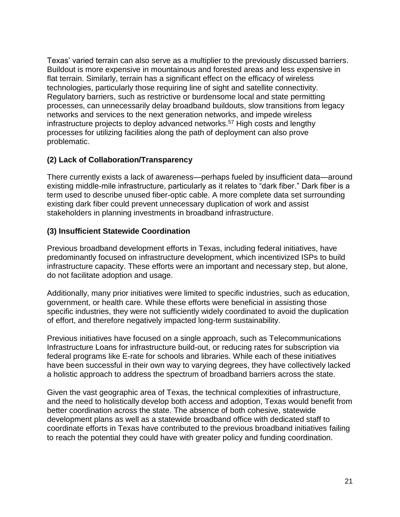Texas' varied terrain can also serve as a multiplier to the previously discussed barriers. Buildout is more expensive in mountainous and forested areas and less expensive in flat terrain. Similarly, terrain has a significant effect on the efficacy of wireless technologies, particularly those requiring line of sight and satellite connectivity. Regulatory barriers, such as restrictive or burdensome local and state permitting processes, can unnecessarily delay broadband buildouts, slow transitions from legacy networks and services to the next generation networks, and impede wireless infrastructure projects to deploy advanced networks.<sup>57</sup> High costs and lengthy processes for utilizing facilities along the path of deployment can also prove problematic.

## **(2) Lack of Collaboration/Transparency**

There currently exists a lack of awareness—perhaps fueled by insufficient data—around existing middle-mile infrastructure, particularly as it relates to "dark fiber." Dark fiber is a term used to describe unused fiber-optic cable. A more complete data set surrounding existing dark fiber could prevent unnecessary duplication of work and assist stakeholders in planning investments in broadband infrastructure.

## **(3) Insufficient Statewide Coordination**

Previous broadband development efforts in Texas, including federal initiatives, have predominantly focused on infrastructure development, which incentivized ISPs to build infrastructure capacity. These efforts were an important and necessary step, but alone, do not facilitate adoption and usage.

Additionally, many prior initiatives were limited to specific industries, such as education, government, or health care. While these efforts were beneficial in assisting those specific industries, they were not sufficiently widely coordinated to avoid the duplication of effort, and therefore negatively impacted long-term sustainability.

Previous initiatives have focused on a single approach, such as Telecommunications Infrastructure Loans for infrastructure build-out, or reducing rates for subscription via federal programs like E-rate for schools and libraries. While each of these initiatives have been successful in their own way to varying degrees, they have collectively lacked a holistic approach to address the spectrum of broadband barriers across the state.

Given the vast geographic area of Texas, the technical complexities of infrastructure, and the need to holistically develop both access and adoption, Texas would benefit from better coordination across the state. The absence of both cohesive, statewide development plans as well as a statewide broadband office with dedicated staff to coordinate efforts in Texas have contributed to the previous broadband initiatives failing to reach the potential they could have with greater policy and funding coordination.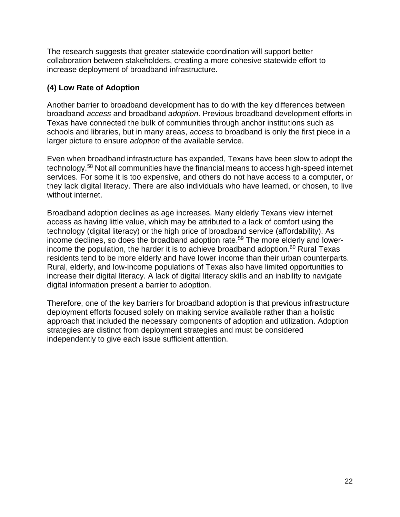The research suggests that greater statewide coordination will support better collaboration between stakeholders, creating a more cohesive statewide effort to increase deployment of broadband infrastructure.

## **(4) Low Rate of Adoption**

Another barrier to broadband development has to do with the key differences between broadband *access* and broadband *adoption*. Previous broadband development efforts in Texas have connected the bulk of communities through anchor institutions such as schools and libraries, but in many areas, *access* to broadband is only the first piece in a larger picture to ensure *adoption* of the available service.

Even when broadband infrastructure has expanded, Texans have been slow to adopt the technology.<sup>58</sup> Not all communities have the financial means to access high-speed internet services. For some it is too expensive, and others do not have access to a computer, or they lack digital literacy. There are also individuals who have learned, or chosen, to live without internet.

Broadband adoption declines as age increases. Many elderly Texans view internet access as having little value, which may be attributed to a lack of comfort using the technology (digital literacy) or the high price of broadband service (affordability). As income declines, so does the broadband adoption rate. <sup>59</sup> The more elderly and lowerincome the population, the harder it is to achieve broadband adoption. <sup>60</sup> Rural Texas residents tend to be more elderly and have lower income than their urban counterparts. Rural, elderly, and low-income populations of Texas also have limited opportunities to increase their digital literacy. A lack of digital literacy skills and an inability to navigate digital information present a barrier to adoption.

Therefore, one of the key barriers for broadband adoption is that previous infrastructure deployment efforts focused solely on making service available rather than a holistic approach that included the necessary components of adoption and utilization. Adoption strategies are distinct from deployment strategies and must be considered independently to give each issue sufficient attention.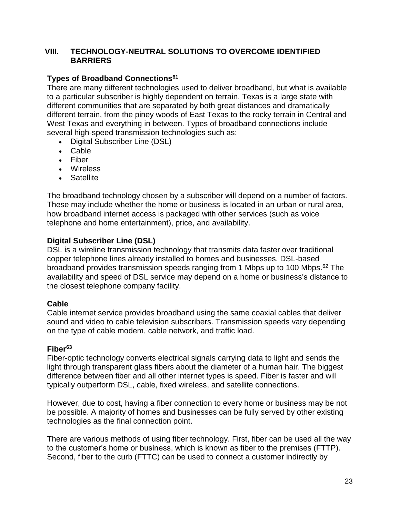#### **VIII. TECHNOLOGY-NEUTRAL SOLUTIONS TO OVERCOME IDENTIFIED BARRIERS**

## **Types of Broadband Connections<sup>61</sup>**

There are many different technologies used to deliver broadband, but what is available to a particular subscriber is highly dependent on terrain. Texas is a large state with different communities that are separated by both great distances and dramatically different terrain, from the piney woods of East Texas to the rocky terrain in Central and West Texas and everything in between. Types of broadband connections include several high-speed transmission technologies such as:

- Digital Subscriber Line (DSL)
- Cable
- Fiber
- Wireless
- Satellite

The broadband technology chosen by a subscriber will depend on a number of factors. These may include whether the home or business is located in an urban or rural area, how broadband internet access is packaged with other services (such as voice telephone and home entertainment), price, and availability.

## **Digital Subscriber Line (DSL)**

DSL is a wireline transmission technology that transmits data faster over traditional copper telephone lines already installed to homes and businesses. DSL-based broadband provides transmission speeds ranging from 1 Mbps up to 100 Mbps.<sup>62</sup> The availability and speed of DSL service may depend on a home or business's distance to the closest telephone company facility.

#### **Cable**

Cable internet service provides broadband using the same coaxial cables that deliver sound and video to cable television subscribers. Transmission speeds vary depending on the type of cable modem, cable network, and traffic load.

#### **Fiber<sup>63</sup>**

Fiber-optic technology converts electrical signals carrying data to light and sends the light through transparent glass fibers about the diameter of a human hair. The biggest difference between fiber and all other internet types is speed. Fiber is faster and will typically outperform DSL, cable, fixed wireless, and satellite connections.

However, due to cost, having a fiber connection to every home or business may be not be possible. A majority of homes and businesses can be fully served by other existing technologies as the final connection point.

There are various methods of using fiber technology. First, fiber can be used all the way to the customer's home or business, which is known as fiber to the premises (FTTP). Second, fiber to the curb (FTTC) can be used to connect a customer indirectly by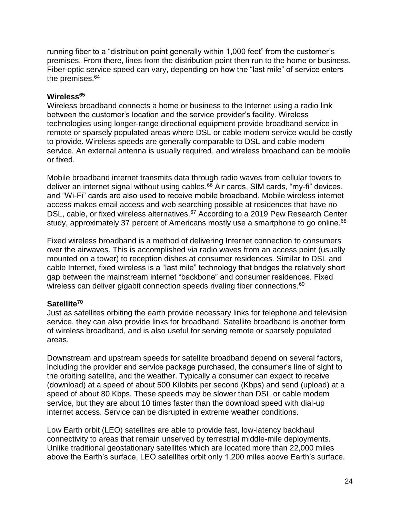running fiber to a "distribution point generally within 1,000 feet" from the customer's premises. From there, lines from the distribution point then run to the home or business. Fiber-optic service speed can vary, depending on how the "last mile" of service enters the premises.<sup>64</sup>

#### **Wireless<sup>65</sup>**

Wireless broadband connects a home or business to the Internet using a radio link between the customer's location and the service provider's facility. Wireless technologies using longer-range directional equipment provide broadband service in remote or sparsely populated areas where DSL or cable modem service would be costly to provide. Wireless speeds are generally comparable to DSL and cable modem service. An external antenna is usually required, and wireless broadband can be mobile or fixed.

Mobile broadband internet transmits data through radio waves from cellular towers to deliver an internet signal without using cables. $66$  Air cards, SIM cards, "my-fi" devices, and "Wi-Fi" cards are also used to receive mobile broadband. Mobile wireless internet access makes email access and web searching possible at residences that have no DSL, cable, or fixed wireless alternatives.<sup>67</sup> According to a 2019 Pew Research Center study, approximately 37 percent of Americans mostly use a smartphone to go online.<sup>68</sup>

Fixed wireless broadband is a method of delivering Internet connection to consumers over the airwaves. This is accomplished via radio waves from an access point (usually mounted on a tower) to reception dishes at consumer residences. Similar to DSL and cable Internet, fixed wireless is a "last mile" technology that bridges the relatively short gap between the mainstream internet "backbone" and consumer residences. Fixed wireless can deliver gigabit connection speeds rivaling fiber connections.<sup>69</sup>

#### **Satellite<sup>70</sup>**

Just as satellites orbiting the earth provide necessary links for telephone and television service, they can also provide links for broadband. Satellite broadband is another form of wireless broadband, and is also useful for serving remote or sparsely populated areas.

Downstream and upstream speeds for satellite broadband depend on several factors, including the provider and service package purchased, the consumer's line of sight to the orbiting satellite, and the weather. Typically a consumer can expect to receive (download) at a speed of about 500 Kilobits per second (Kbps) and send (upload) at a speed of about 80 Kbps. These speeds may be slower than DSL or cable modem service, but they are about 10 times faster than the download speed with dial-up internet access. Service can be disrupted in extreme weather conditions.

Low Earth orbit (LEO) satellites are able to provide fast, low-latency backhaul connectivity to areas that remain unserved by terrestrial middle-mile deployments. Unlike traditional geostationary satellites which are located more than 22,000 miles above the Earth's surface, LEO satellites orbit only 1,200 miles above Earth's surface.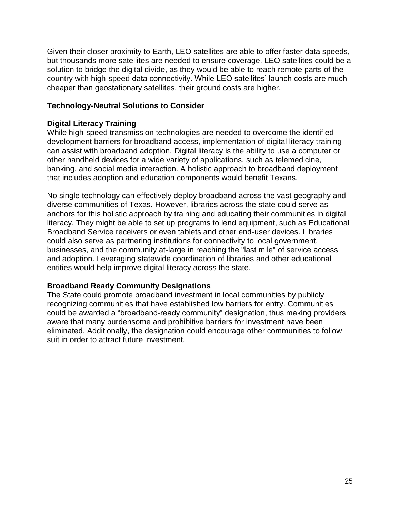Given their closer proximity to Earth, LEO satellites are able to offer faster data speeds, but thousands more satellites are needed to ensure coverage. LEO satellites could be a solution to bridge the digital divide, as they would be able to reach remote parts of the country with high-speed data connectivity. While LEO satellites' launch costs are much cheaper than geostationary satellites, their ground costs are higher.

#### **Technology-Neutral Solutions to Consider**

#### **Digital Literacy Training**

While high-speed transmission technologies are needed to overcome the identified development barriers for broadband access, implementation of digital literacy training can assist with broadband adoption. Digital literacy is the ability to use a computer or other handheld devices for a wide variety of applications, such as telemedicine, banking, and social media interaction. A holistic approach to broadband deployment that includes adoption and education components would benefit Texans.

No single technology can effectively deploy broadband across the vast geography and diverse communities of Texas. However, libraries across the state could serve as anchors for this holistic approach by training and educating their communities in digital literacy. They might be able to set up programs to lend equipment, such as Educational Broadband Service receivers or even tablets and other end-user devices. Libraries could also serve as partnering institutions for connectivity to local government, businesses, and the community at-large in reaching the "last mile" of service access and adoption. Leveraging statewide coordination of libraries and other educational entities would help improve digital literacy across the state.

#### **Broadband Ready Community Designations**

The State could promote broadband investment in local communities by publicly recognizing communities that have established low barriers for entry. Communities could be awarded a "broadband-ready community" designation, thus making providers aware that many burdensome and prohibitive barriers for investment have been eliminated. Additionally, the designation could encourage other communities to follow suit in order to attract future investment.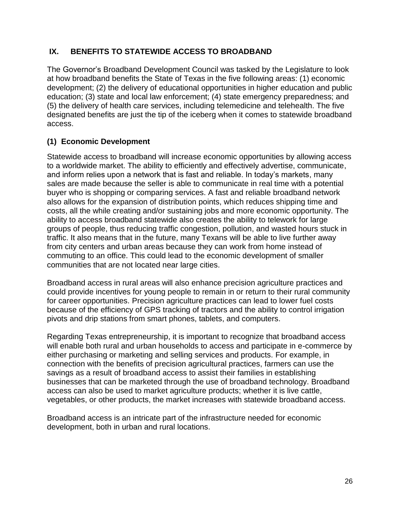## **IX. BENEFITS TO STATEWIDE ACCESS TO BROADBAND**

The Governor's Broadband Development Council was tasked by the Legislature to look at how broadband benefits the State of Texas in the five following areas: (1) economic development; (2) the delivery of educational opportunities in higher education and public education; (3) state and local law enforcement; (4) state emergency preparedness; and (5) the delivery of health care services, including telemedicine and telehealth. The five designated benefits are just the tip of the iceberg when it comes to statewide broadband access.

## **(1) Economic Development**

Statewide access to broadband will increase economic opportunities by allowing access to a worldwide market. The ability to efficiently and effectively advertise, communicate, and inform relies upon a network that is fast and reliable. In today's markets, many sales are made because the seller is able to communicate in real time with a potential buyer who is shopping or comparing services. A fast and reliable broadband network also allows for the expansion of distribution points, which reduces shipping time and costs, all the while creating and/or sustaining jobs and more economic opportunity. The ability to access broadband statewide also creates the ability to telework for large groups of people, thus reducing traffic congestion, pollution, and wasted hours stuck in traffic. It also means that in the future, many Texans will be able to live further away from city centers and urban areas because they can work from home instead of commuting to an office. This could lead to the economic development of smaller communities that are not located near large cities.

Broadband access in rural areas will also enhance precision agriculture practices and could provide incentives for young people to remain in or return to their rural community for career opportunities. Precision agriculture practices can lead to lower fuel costs because of the efficiency of GPS tracking of tractors and the ability to control irrigation pivots and drip stations from smart phones, tablets, and computers.

Regarding Texas entrepreneurship, it is important to recognize that broadband access will enable both rural and urban households to access and participate in e-commerce by either purchasing or marketing and selling services and products. For example, in connection with the benefits of precision agricultural practices, farmers can use the savings as a result of broadband access to assist their families in establishing businesses that can be marketed through the use of broadband technology. Broadband access can also be used to market agriculture products; whether it is live cattle, vegetables, or other products, the market increases with statewide broadband access.

Broadband access is an intricate part of the infrastructure needed for economic development, both in urban and rural locations.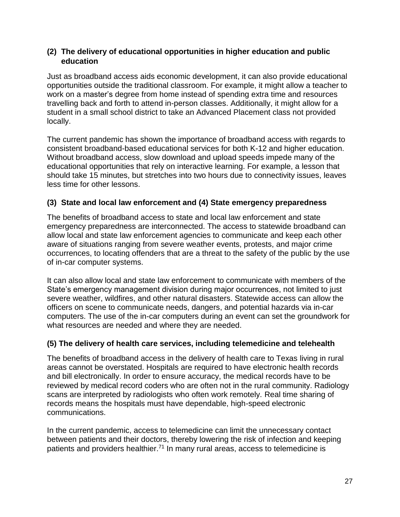## **(2) The delivery of educational opportunities in higher education and public education**

Just as broadband access aids economic development, it can also provide educational opportunities outside the traditional classroom. For example, it might allow a teacher to work on a master's degree from home instead of spending extra time and resources travelling back and forth to attend in-person classes. Additionally, it might allow for a student in a small school district to take an Advanced Placement class not provided locally.

The current pandemic has shown the importance of broadband access with regards to consistent broadband-based educational services for both K-12 and higher education. Without broadband access, slow download and upload speeds impede many of the educational opportunities that rely on interactive learning. For example, a lesson that should take 15 minutes, but stretches into two hours due to connectivity issues, leaves less time for other lessons.

## **(3) State and local law enforcement and (4) State emergency preparedness**

The benefits of broadband access to state and local law enforcement and state emergency preparedness are interconnected. The access to statewide broadband can allow local and state law enforcement agencies to communicate and keep each other aware of situations ranging from severe weather events, protests, and major crime occurrences, to locating offenders that are a threat to the safety of the public by the use of in-car computer systems.

It can also allow local and state law enforcement to communicate with members of the State's emergency management division during major occurrences, not limited to just severe weather, wildfires, and other natural disasters. Statewide access can allow the officers on scene to communicate needs, dangers, and potential hazards via in-car computers. The use of the in-car computers during an event can set the groundwork for what resources are needed and where they are needed.

## **(5) The delivery of health care services, including telemedicine and telehealth**

The benefits of broadband access in the delivery of health care to Texas living in rural areas cannot be overstated. Hospitals are required to have electronic health records and bill electronically. In order to ensure accuracy, the medical records have to be reviewed by medical record coders who are often not in the rural community. Radiology scans are interpreted by radiologists who often work remotely. Real time sharing of records means the hospitals must have dependable, high-speed electronic communications.

In the current pandemic, access to telemedicine can limit the unnecessary contact between patients and their doctors, thereby lowering the risk of infection and keeping patients and providers healthier.<sup>71</sup> In many rural areas, access to telemedicine is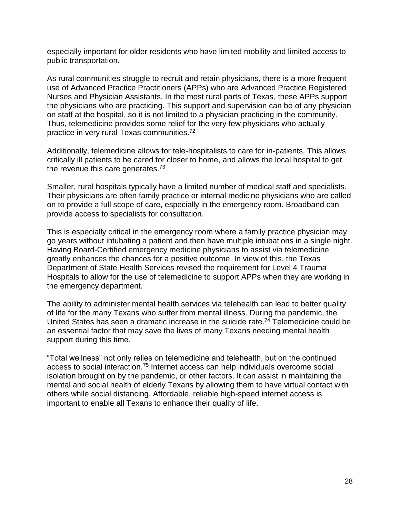especially important for older residents who have limited mobility and limited access to public transportation.

As rural communities struggle to recruit and retain physicians, there is a more frequent use of Advanced Practice Practitioners (APPs) who are Advanced Practice Registered Nurses and Physician Assistants. In the most rural parts of Texas, these APPs support the physicians who are practicing. This support and supervision can be of any physician on staff at the hospital, so it is not limited to a physician practicing in the community. Thus, telemedicine provides some relief for the very few physicians who actually practice in very rural Texas communities.<sup>72</sup>

Additionally, telemedicine allows for tele-hospitalists to care for in-patients. This allows critically ill patients to be cared for closer to home, and allows the local hospital to get the revenue this care generates.<sup>73</sup>

Smaller, rural hospitals typically have a limited number of medical staff and specialists. Their physicians are often family practice or internal medicine physicians who are called on to provide a full scope of care, especially in the emergency room. Broadband can provide access to specialists for consultation.

This is especially critical in the emergency room where a family practice physician may go years without intubating a patient and then have multiple intubations in a single night. Having Board-Certified emergency medicine physicians to assist via telemedicine greatly enhances the chances for a positive outcome. In view of this, the Texas Department of State Health Services revised the requirement for Level 4 Trauma Hospitals to allow for the use of telemedicine to support APPs when they are working in the emergency department.

The ability to administer mental health services via telehealth can lead to better quality of life for the many Texans who suffer from mental illness. During the pandemic, the United States has seen a dramatic increase in the suicide rate.<sup>74</sup> Telemedicine could be an essential factor that may save the lives of many Texans needing mental health support during this time.

"Total wellness" not only relies on telemedicine and telehealth, but on the continued access to social interaction.<sup>75</sup> Internet access can help individuals overcome social isolation brought on by the pandemic, or other factors. It can assist in maintaining the mental and social health of elderly Texans by allowing them to have virtual contact with others while social distancing. Affordable, reliable high-speed internet access is important to enable all Texans to enhance their quality of life.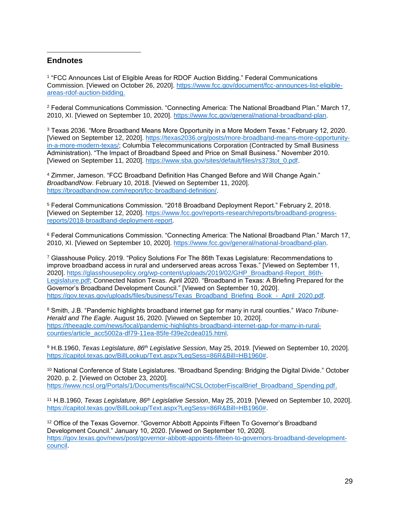#### **Endnotes**

 $\overline{a}$ 

1 "FCC Announces List of Eligible Areas for RDOF Auction Bidding." Federal Communications Commission. [Viewed on October 26, 2020]. https://www.fcc.gov/document/fcc-announces-list-eligibleareas-rdof-auction-bidding.

<sup>2</sup> Federal Communications Commission. "Connecting America: The National Broadband Plan." March 17, 2010, XI. [Viewed on September 10, 2020]. https://www.fcc.gov/general/national-broadband-plan.

<sup>3</sup> Texas 2036. "More Broadband Means More Opportunity in a More Modern Texas." February 12, 2020. [Viewed on September 12, 2020]. https://texas2036.org/posts/more-broadband-means-more-opportunityin-a-more-modern-texas/; Columbia Telecommunications Corporation (Contracted by Small Business Administration). "The Impact of Broadband Speed and Price on Small Business." November 2010. [Viewed on September 11, 2020]. https://www.sba.gov/sites/default/files/rs373tot\_0.pdf.

<sup>4</sup> Zimmer, Jameson. "FCC Broadband Definition Has Changed Before and Will Change Again." *BroadbandNow*. February 10, 2018. [Viewed on September 11, 2020]. https://broadbandnow.com/report/fcc-broadband-definition/.

<sup>5</sup> Federal Communications Commission. "2018 Broadband Deployment Report." February 2, 2018. [Viewed on September 12, 2020]. https://www.fcc.gov/reports-research/reports/broadband-progressreports/2018-broadband-deployment-report.

<sup>6</sup> Federal Communications Commission. "Connecting America: The National Broadband Plan." March 17, 2010, XI. [Viewed on September 10, 2020]. https://www.fcc.gov/general/national-broadband-plan.

<sup>7</sup> Glasshouse Policy. 2019. "Policy Solutions For The 86th Texas Legislature: Recommendations to improve broadband access in rural and underserved areas across Texas." [Viewed on September 11, 2020]. https://glasshousepolicy.org/wp-content/uploads/2019/02/GHP\_Broadband-Report\_86th-Legislature.pdf; Connected Nation Texas. April 2020. "Broadband in Texas: A Briefing Prepared for the Governor's Broadband Development Council." [Viewed on September 10, 2020]. https://gov.texas.gov/uploads/files/business/Texas\_Broadband\_Briefing\_Book\_-\_April\_2020.pdf.

<sup>8</sup> Smith, J.B. "Pandemic highlights broadband internet gap for many in rural counties." *Waco Tribune-Herald and The Eagle*. August 16, 2020. [Viewed on September 10, 2020]. https://theeagle.com/news/local/pandemic-highlights-broadband-internet-gap-for-many-in-ruralcounties/article\_acc5002a-df79-11ea-85fe-f39e2cdea015.html.

<sup>9</sup> H.B.1960, *Texas Legislature, 86th Legislative Session*, May 25, 2019. [Viewed on September 10, 2020]. https://capitol.texas.gov/BillLookup/Text.aspx?LegSess=86R&Bill=HB1960#.

<sup>10</sup> National Conference of State Legislatures. "Broadband Spending: Bridging the Digital Divide." October 2020. p. 2. [Viewed on October 23, 2020]. https://www.ncsl.org/Portals/1/Documents/fiscal/NCSLOctoberFiscalBrief\_Broadband\_Spending.pdf.

<sup>11</sup> H.B.1960, *Texas Legislature, 86th Legislative Session*, May 25, 2019. [Viewed on September 10, 2020]. https://capitol.texas.gov/BillLookup/Text.aspx?LegSess=86R&Bill=HB1960#.

<sup>12</sup> Office of the Texas Governor. "Governor Abbott Appoints Fifteen To Governor's Broadband Development Council." January 10, 2020. [Viewed on September 10, 2020]. https://gov.texas.gov/news/post/governor-abbott-appoints-fifteen-to-governors-broadband-developmentcouncil.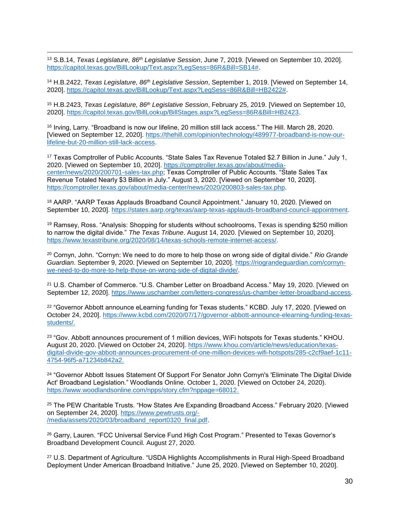$\overline{a}$ <sup>13</sup> S.B.14, *Texas Legislature, 86th Legislative Session*, June 7, 2019. [Viewed on September 10, 2020]. https://capitol.texas.gov/BillLookup/Text.aspx?LegSess=86R&Bill=SB14#.

<sup>14</sup> H.B.2422, *Texas Legislature, 86th Legislative Session*, September 1, 2019. [Viewed on September 14, 2020]. https://capitol.texas.gov/BillLookup/Text.aspx?LegSess=86R&Bill=HB2422#.

<sup>15</sup> H.B.2423, *Texas Legislature, 86th Legislative Session*, February 25, 2019. [Viewed on September 10, 2020]. https://capitol.texas.gov/BillLookup/BillStages.aspx?LegSess=86R&Bill=HB2423.

<sup>16</sup> Irving, Larry. "Broadband is now our lifeline, 20 million still lack access." The Hill. March 28, 2020. [Viewed on September 12, 2020]. https://thehill.com/opinion/technology/489977-broadband-is-now-ourlifeline-but-20-million-still-lack-access.

<sup>17</sup> Texas Comptroller of Public Accounts. "State Sales Tax Revenue Totaled \$2.7 Billion in June." July 1, 2020. [Viewed on September 10, 2020]. https://comptroller.texas.gov/about/mediacenter/news/2020/200701-sales-tax.php; Texas Comptroller of Public Accounts. "State Sales Tax Revenue Totaled Nearly \$3 Billion in July." August 3, 2020. [Viewed on September 10, 2020]. https://comptroller.texas.gov/about/media-center/news/2020/200803-sales-tax.php.

<sup>18</sup> AARP. "AARP Texas Applauds Broadband Council Appointment." January 10, 2020. [Viewed on September 10, 2020]. https://states.aarp.org/texas/aarp-texas-applauds-broadband-council-appointment.

<sup>19</sup> Ramsey, Ross. "Analysis: Shopping for students without schoolrooms, Texas is spending \$250 million to narrow the digital divide." *The Texas Tribune*. August 14, 2020. [Viewed on September 10, 2020]. https://www.texastribune.org/2020/08/14/texas-schools-remote-internet-access/.

<sup>20</sup> Cornyn, John. "Cornyn: We need to do more to help those on wrong side of digital divide." *Rio Grande Guardian*. September 9, 2020. [Viewed on September 10, 2020]. https://riograndeguardian.com/cornynwe-need-to-do-more-to-help-those-on-wrong-side-of-digital-divide/.

<sup>21</sup> U.S. Chamber of Commerce. "U.S. Chamber Letter on Broadband Access." May 19, 2020. [Viewed on September 12, 2020]. https://www.uschamber.com/letters-congress/us-chamber-letter-broadband-access.

<sup>22</sup> "Governor Abbott announce eLearning funding for Texas students." KCBD. July 17, 2020. [Viewed on October 24, 2020]. https://www.kcbd.com/2020/07/17/governor-abbott-announce-elearning-funding-texasstudents/.

<sup>23</sup> "Gov. Abbott announces procurement of 1 million devices, WiFi hotspots for Texas students." KHOU. August 20, 2020. [Viewed on October 24, 2020]. https://www.khou.com/article/news/education/texasdigital-divide-gov-abbott-announces-procurement-of-one-million-devices-wifi-hotspots/285-c2cf9aef-1c11- 4754-96f5-a71234b842a2.

<sup>24</sup> "Governor Abbott Issues Statement Of Support For Senator John Cornyn's 'Eliminate The Digital Divide Act' Broadband Legislation." Woodlands Online. October 1, 2020. [Viewed on October 24, 2020). https://www.woodlandsonline.com/npps/story.cfm?nppage=68012.

<sup>25</sup> The PEW Charitable Trusts. "How States Are Expanding Broadband Access." February 2020. [Viewed on September 24, 2020]. https://www.pewtrusts.org/- /media/assets/2020/03/broadband\_report0320\_final.pdf.

<sup>26</sup> Garry, Lauren. "FCC Universal Service Fund High Cost Program." Presented to Texas Governor's Broadband Development Council. August 27, 2020.

<sup>27</sup> U.S. Department of Agriculture. "USDA Highlights Accomplishments in Rural High-Speed Broadband Deployment Under American Broadband Initiative." June 25, 2020. [Viewed on September 10, 2020].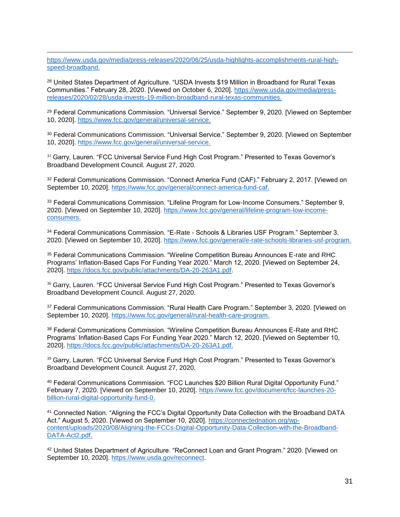https://www.usda.gov/media/press-releases/2020/06/25/usda-highlights-accomplishments-rural-highspeed-broadband.

 $\overline{a}$ 

<sup>28</sup> United States Department of Agriculture. "USDA Invests \$19 Million in Broadband for Rural Texas Communities." February 28, 2020. [Viewed on October 6, 2020]. https://www.usda.gov/media/pressreleases/2020/02/28/usda-invests-19-million-broadband-rural-texas-communities.

<sup>29</sup> Federal Communications Commission. "Universal Service." September 9, 2020. [Viewed on September 10, 2020]. https://www.fcc.gov/general/universal-service.

<sup>30</sup> Federal Communications Commission. "Universal Service." September 9, 2020. [Viewed on September 10, 2020]. https://www.fcc.gov/general/universal-service.

<sup>31</sup> Garry, Lauren. "FCC Universal Service Fund High Cost Program." Presented to Texas Governor's Broadband Development Council. August 27, 2020.

32 Federal Communications Commission. "Connect America Fund (CAF)." February 2, 2017. [Viewed on September 10, 2020]. https://www.fcc.gov/general/connect-america-fund-caf.

<sup>33</sup> Federal Communications Commission. "Lifeline Program for Low-Income Consumers." September 9, 2020. [Viewed on September 10, 2020]. https://www.fcc.gov/general/lifeline-program-low-incomeconsumers.

<sup>34</sup> Federal Communications Commission. "E-Rate - Schools & Libraries USF Program." September 3, 2020. [Viewed on September 10, 2020]. https://www.fcc.gov/general/e-rate-schools-libraries-usf-program.

<sup>35</sup> Federal Communications Commission. "Wireline Competition Bureau Announces E-rate and RHC Programs' Inflation-Based Caps For Funding Year 2020." March 12, 2020. [Viewed on September 24, 2020]. https://docs.fcc.gov/public/attachments/DA-20-263A1.pdf.

<sup>36</sup> Garry, Lauren. "FCC Universal Service Fund High Cost Program." Presented to Texas Governor's Broadband Development Council. August 27, 2020.

<sup>37</sup> Federal Communications Commission. "Rural Health Care Program." September 3, 2020. [Viewed on September 10, 2020]. https://www.fcc.gov/general/rural-health-care-program.

<sup>38</sup> Federal Communications Commission. "Wireline Competition Bureau Announces E-Rate and RHC Programs' Inflation-Based Caps For Funding Year 2020." March 12, 2020. [Viewed on September 10, 2020]. https://docs.fcc.gov/public/attachments/DA-20-263A1.pdf.

<sup>39</sup> Garry, Lauren. "FCC Universal Service Fund High Cost Program." Presented to Texas Governor's Broadband Development Council. August 27, 2020.

<sup>40</sup> Federal Communications Commission. "FCC Launches \$20 Billion Rural Digital Opportunity Fund." February 7, 2020. [Viewed on September 10, 2020]. https://www.fcc.gov/document/fcc-launches-20 billion-rural-digital-opportunity-fund-0.

<sup>41</sup> Connected Nation. "Aligning the FCC's Digital Opportunity Data Collection with the Broadband DATA Act." August 5, 2020. [Viewed on September 10, 2020]. https://connectednation.org/wpcontent/uploads/2020/08/Aligning-the-FCCs-Digital-Opportunity-Data-Collection-with-the-Broadband-DATA-Act2.pdf.

<sup>42</sup> United States Department of Agriculture. "ReConnect Loan and Grant Program." 2020. [Viewed on September 10, 2020]. https://www.usda.gov/reconnect.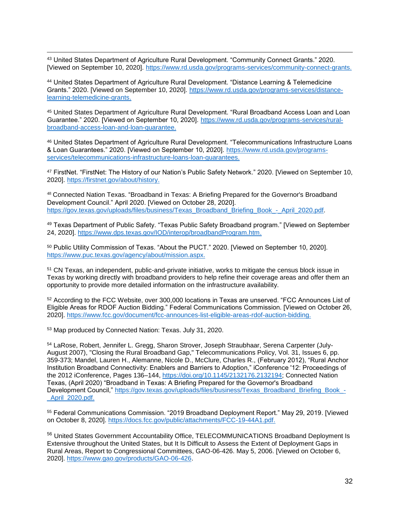$\overline{a}$ <sup>43</sup> United States Department of Agriculture Rural Development. "Community Connect Grants." 2020. [Viewed on September 10, 2020]. https://www.rd.usda.gov/programs-services/community-connect-grants.

<sup>44</sup> United States Department of Agriculture Rural Development. "Distance Learning & Telemedicine Grants." 2020. [Viewed on September 10, 2020]. https://www.rd.usda.gov/programs-services/distancelearning-telemedicine-grants.

<sup>45</sup> United States Department of Agriculture Rural Development. "Rural Broadband Access Loan and Loan Guarantee." 2020. [Viewed on September 10, 2020]. https://www.rd.usda.gov/programs-services/ruralbroadband-access-loan-and-loan-guarantee.

<sup>46</sup> United States Department of Agriculture Rural Development. "Telecommunications Infrastructure Loans & Loan Guarantees." 2020. [Viewed on September 10, 2020]. https://www.rd.usda.gov/programsservices/telecommunications-infrastructure-loans-loan-guarantees.

<sup>47</sup> FirstNet. "FirstNet: The History of our Nation's Public Safety Network." 2020. [Viewed on September 10, 2020]. https://firstnet.gov/about/history.

<sup>48</sup> Connected Nation Texas. "Broadband in Texas: A Briefing Prepared for the Governor's Broadband Development Council." April 2020. [Viewed on October 28, 2020]. https://gov.texas.gov/uploads/files/business/Texas\_Broadband\_Briefing\_Book\_-\_April\_2020.pdf.

<sup>49</sup> Texas Department of Public Safety. "Texas Public Safety Broadband program." [Viewed on September 24, 2020]. https://www.dps.texas.gov/IOD/interop/broadbandProgram.htm.

<sup>50</sup> Public Utility Commission of Texas. "About the PUCT." 2020. [Viewed on September 10, 2020]. https://www.puc.texas.gov/agency/about/mission.aspx.

<sup>51</sup> CN Texas, an independent, public-and-private initiative, works to mitigate the census block issue in Texas by working directly with broadband providers to help refine their coverage areas and offer them an opportunity to provide more detailed information on the infrastructure availability.

<sup>52</sup> According to the FCC Website, over 300,000 locations in Texas are unserved. "FCC Announces List of Eligible Areas for RDOF Auction Bidding." Federal Communications Commission. [Viewed on October 26, 2020]. https://www.fcc.gov/document/fcc-announces-list-eligible-areas-rdof-auction-bidding.

<sup>53</sup> Map produced by Connected Nation: Texas. July 31, 2020.

<sup>54</sup> LaRose, Robert, Jennifer L. Gregg, Sharon Strover, Joseph Straubhaar, Serena Carpenter (July-August 2007), "Closing the Rural Broadband Gap," Telecommunications Policy, Vol. 31, Issues 6, pp. 359-373; Mandel, Lauren H., Alemanne, Nicole D., McClure, Charles R., (February 2012), "Rural Anchor Institution Broadband Connectivity: Enablers and Barriers to Adoption," iConference '12: Proceedings of the 2012 iConference, Pages 136–144, https://doi.org/10.1145/2132176.2132194; Connected Nation Texas, (April 2020) "Broadband in Texas: A Briefing Prepared for the Governor's Broadband Development Council," https://gov.texas.gov/uploads/files/business/Texas\_Broadband\_Briefing\_Book -\_April\_2020.pdf.

<sup>55</sup> Federal Communications Commission. "2019 Broadband Deployment Report." May 29, 2019. [Viewed on October 8, 2020]. https://docs.fcc.gov/public/attachments/FCC-19-44A1.pdf.

56 United States Government Accountability Office, TELECOMMUNICATIONS Broadband Deployment Is Extensive throughout the United States, but It Is Difficult to Assess the Extent of Deployment Gaps in Rural Areas, Report to Congressional Committees, GAO-06-426. May 5, 2006. [Viewed on October 6, 2020]. https://www.gao.gov/products/GAO-06-426.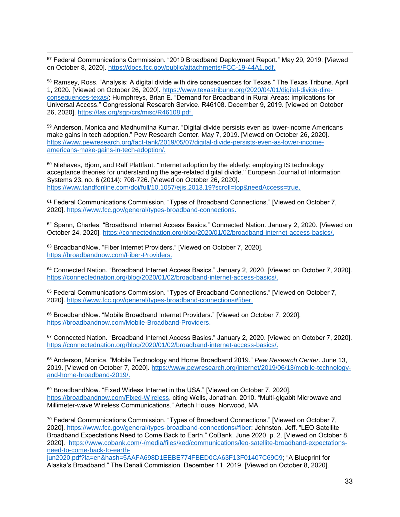$\overline{a}$ <sup>57</sup> Federal Communications Commission. "2019 Broadband Deployment Report." May 29, 2019. [Viewed on October 8, 2020]. https://docs.fcc.gov/public/attachments/FCC-19-44A1.pdf.

<sup>58</sup> Ramsey, Ross. "Analysis: A digital divide with dire consequences for Texas." The Texas Tribune. April 1, 2020. [Viewed on October 26, 2020]. https://www.texastribune.org/2020/04/01/digital-divide-direconsequences-texas/; Humphreys, Brian E. "Demand for Broadband in Rural Areas: Implications for Universal Access." Congressional Research Service. R46108. December 9, 2019. [Viewed on October 26, 2020]. https://fas.org/sgp/crs/misc/R46108.pdf.

<sup>59</sup> Anderson, Monica and Madhumitha Kumar. "Digital divide persists even as lower-income Americans make gains in tech adoption." Pew Research Center. May 7, 2019. [Viewed on October 26, 2020]. https://www.pewresearch.org/fact-tank/2019/05/07/digital-divide-persists-even-as-lower-incomeamericans-make-gains-in-tech-adoption/.

<sup>60</sup> Niehaves, Björn, and Ralf Plattfaut. "Internet adoption by the elderly: employing IS technology acceptance theories for understanding the age-related digital divide." European Journal of Information Systems 23, no. 6 (2014): 708-726. [Viewed on October 26, 2020]. https://www.tandfonline.com/doi/full/10.1057/ejis.2013.19?scroll=top&needAccess=true.

<sup>61</sup> Federal Communications Commission. "Types of Broadband Connections." [Viewed on October 7, 2020]. https://www.fcc.gov/general/types-broadband-connections.

62 Spann, Charles. "Broadband Internet Access Basics." Connected Nation. January 2, 2020. [Viewed on October 24, 2020]. https://connectednation.org/blog/2020/01/02/broadband-internet-access-basics/.

<sup>63</sup> BroadbandNow. "Fiber Internet Providers." [Viewed on October 7, 2020]. https://broadbandnow.com/Fiber-Providers.

<sup>64</sup> Connected Nation. "Broadband Internet Access Basics." January 2, 2020. [Viewed on October 7, 2020]. https://connectednation.org/blog/2020/01/02/broadband-internet-access-basics/.

<sup>65</sup> Federal Communications Commission. "Types of Broadband Connections." [Viewed on October 7, 2020]. https://www.fcc.gov/general/types-broadband-connections#fiber.

<sup>66</sup> BroadbandNow. "Mobile Broadband Internet Providers." [Viewed on October 7, 2020]. https://broadbandnow.com/Mobile-Broadband-Providers.

<sup>67</sup> Connected Nation. "Broadband Internet Access Basics." January 2, 2020. [Viewed on October 7, 2020]. https://connectednation.org/blog/2020/01/02/broadband-internet-access-basics/.

<sup>68</sup> Anderson, Monica. "Mobile Technology and Home Broadband 2019." *Pew Research Center*. June 13, 2019. [Viewed on October 7, 2020]. https://www.pewresearch.org/internet/2019/06/13/mobile-technologyand-home-broadband-2019/.

69 BroadbandNow. "Fixed Wirless Internet in the USA." [Viewed on October 7, 2020]. https://broadbandnow.com/Fixed-Wireless, citing Wells, Jonathan. 2010. "Multi-gigabit Microwave and Millimeter-wave Wireless Communications." Artech House, Norwood, MA.

<sup>70</sup> Federal Communications Commission. "Types of Broadband Connections." [Viewed on October 7, 2020]. https://www.fcc.gov/general/types-broadband-connections#fiber; Johnston, Jeff. "LEO Satellite Broadband Expectations Need to Come Back to Earth." CoBank. June 2020, p. 2. [Viewed on October 8, 2020]. https://www.cobank.com/-/media/files/ked/communications/leo-satellite-broadband-expectationsneed-to-come-back-to-earth-

jun2020.pdf?la=en&hash=5AAFA698D1EEBE774FBED0CA63F13F01407C69C9; "A Blueprint for Alaska's Broadband." The Denali Commission. December 11, 2019. [Viewed on October 8, 2020].